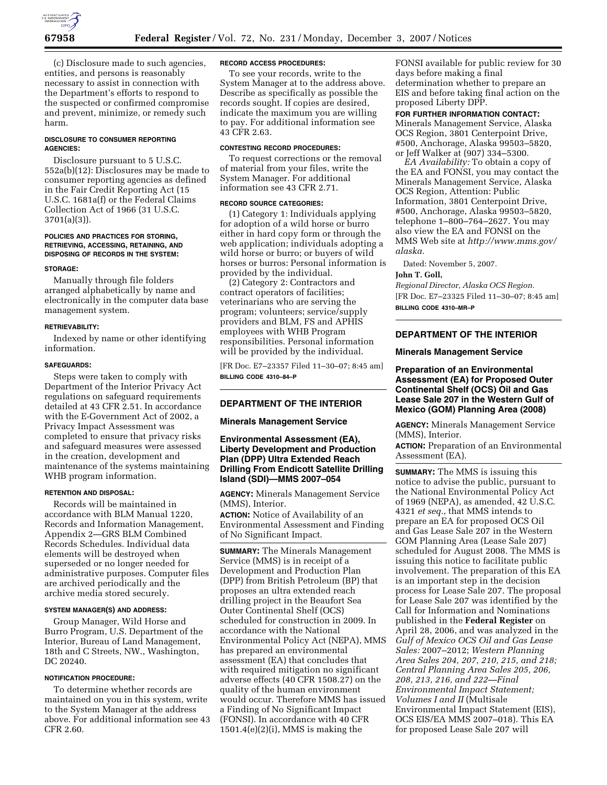

(c) Disclosure made to such agencies, entities, and persons is reasonably necessary to assist in connection with the Department's efforts to respond to the suspected or confirmed compromise and prevent, minimize, or remedy such harm.

## **DISCLOSURE TO CONSUMER REPORTING AGENCIES:**

Disclosure pursuant to 5 U.S.C. 552a(b)(12): Disclosures may be made to consumer reporting agencies as defined in the Fair Credit Reporting Act (15 U.S.C. 1681a(f) or the Federal Claims Collection Act of 1966 (31 U.S.C. 3701(a)(3)).

### **POLICIES AND PRACTICES FOR STORING, RETRIEVING, ACCESSING, RETAINING, AND DISPOSING OF RECORDS IN THE SYSTEM:**

### **STORAGE:**

Manually through file folders arranged alphabetically by name and electronically in the computer data base management system.

## **RETRIEVABILITY:**

Indexed by name or other identifying information.

### **SAFEGUARDS:**

Steps were taken to comply with Department of the Interior Privacy Act regulations on safeguard requirements detailed at 43 CFR 2.51. In accordance with the E-Government Act of 2002, a Privacy Impact Assessment was completed to ensure that privacy risks and safeguard measures were assessed in the creation, development and maintenance of the systems maintaining WHB program information.

### **RETENTION AND DISPOSAL:**

Records will be maintained in accordance with BLM Manual 1220, Records and Information Management, Appendix 2—GRS BLM Combined Records Schedules. Individual data elements will be destroyed when superseded or no longer needed for administrative purposes. Computer files are archived periodically and the archive media stored securely.

### **SYSTEM MANAGER(S) AND ADDRESS:**

Group Manager, Wild Horse and Burro Program, U.S. Department of the Interior, Bureau of Land Management, 18th and C Streets, NW., Washington, DC 20240.

## **NOTIFICATION PROCEDURE:**

To determine whether records are maintained on you in this system, write to the System Manager at the address above. For additional information see 43 CFR 2.60.

### **RECORD ACCESS PROCEDURES:**

To see your records, write to the System Manager at to the address above. Describe as specifically as possible the records sought. If copies are desired, indicate the maximum you are willing to pay. For additional information see 43 CFR 2.63.

### **CONTESTING RECORD PROCEDURES:**

To request corrections or the removal of material from your files, write the System Manager. For additional information see 43 CFR 2.71.

#### **RECORD SOURCE CATEGORIES:**

(1) Category 1: Individuals applying for adoption of a wild horse or burro either in hard copy form or through the web application; individuals adopting a wild horse or burro; or buyers of wild horses or burros: Personal information is provided by the individual.

(2) Category 2: Contractors and contract operators of facilities; veterinarians who are serving the program; volunteers; service/supply providers and BLM, FS and APHIS employees with WHB Program responsibilities. Personal information will be provided by the individual.

[FR Doc. E7–23357 Filed 11–30–07; 8:45 am] **BILLING CODE 4310–84–P** 

## **DEPARTMENT OF THE INTERIOR**

## **Minerals Management Service**

# **Environmental Assessment (EA), Liberty Development and Production Plan (DPP) Ultra Extended Reach Drilling From Endicott Satellite Drilling Island (SDI)—MMS 2007–054**

**AGENCY:** Minerals Management Service (MMS), Interior.

**ACTION:** Notice of Availability of an Environmental Assessment and Finding of No Significant Impact.

**SUMMARY:** The Minerals Management Service (MMS) is in receipt of a Development and Production Plan (DPP) from British Petroleum (BP) that proposes an ultra extended reach drilling project in the Beaufort Sea Outer Continental Shelf (OCS) scheduled for construction in 2009. In accordance with the National Environmental Policy Act (NEPA), MMS has prepared an environmental assessment (EA) that concludes that with required mitigation no significant adverse effects (40 CFR 1508.27) on the quality of the human environment would occur. Therefore MMS has issued a Finding of No Significant Impact (FONSI). In accordance with 40 CFR  $1501.4(e)(2)(i)$ , MMS is making the

FONSI available for public review for 30 days before making a final determination whether to prepare an EIS and before taking final action on the proposed Liberty DPP.

### **FOR FURTHER INFORMATION CONTACT:**

Minerals Management Service, Alaska OCS Region, 3801 Centerpoint Drive, #500, Anchorage, Alaska 99503–5820, or Jeff Walker at (907) 334–5300.

*EA Availability:* To obtain a copy of the EA and FONSI, you may contact the Minerals Management Service, Alaska OCS Region, Attention: Public Information, 3801 Centerpoint Drive, #500, Anchorage, Alaska 99503–5820, telephone 1–800–764–2627. You may also view the EA and FONSI on the MMS Web site at *http://www.mms.gov/ alaska.* 

Dated: November 5, 2007.

## **John T. Goll,**

*Regional Director, Alaska OCS Region.*  [FR Doc. E7–23325 Filed 11–30–07; 8:45 am] **BILLING CODE 4310–MR–P** 

## **DEPARTMENT OF THE INTERIOR**

### **Minerals Management Service**

# **Preparation of an Environmental Assessment (EA) for Proposed Outer Continental Shelf (OCS) Oil and Gas Lease Sale 207 in the Western Gulf of Mexico (GOM) Planning Area (2008)**

**AGENCY:** Minerals Management Service (MMS), Interior.

**ACTION:** Preparation of an Environmental Assessment (EA).

**SUMMARY:** The MMS is issuing this notice to advise the public, pursuant to the National Environmental Policy Act of 1969 (NEPA), as amended, 42 U.S.C. 4321 *et seq.*, that MMS intends to prepare an EA for proposed OCS Oil and Gas Lease Sale 207 in the Western GOM Planning Area (Lease Sale 207) scheduled for August 2008. The MMS is issuing this notice to facilitate public involvement. The preparation of this EA is an important step in the decision process for Lease Sale 207. The proposal for Lease Sale 207 was identified by the Call for Information and Nominations published in the **Federal Register** on April 28, 2006, and was analyzed in the *Gulf of Mexico OCS Oil and Gas Lease Sales:* 2007–2012; *Western Planning Area Sales 204, 207, 210, 215, and 218; Central Planning Area Sales 205, 206, 208, 213, 216, and 222—Final Environmental Impact Statement; Volumes I and II* (Multisale Environmental Impact Statement (EIS), OCS EIS/EA MMS 2007–018). This EA for proposed Lease Sale 207 will